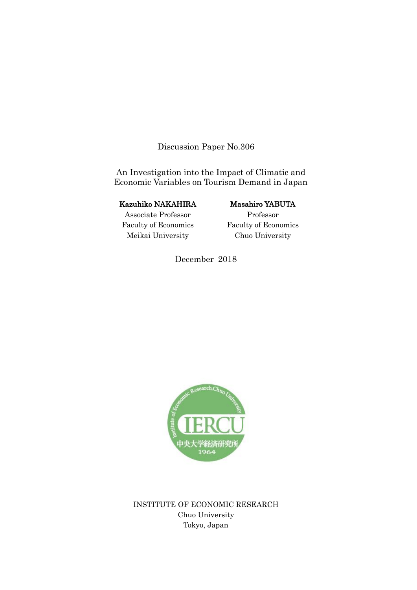Discussion Paper No.306

An Investigation into the Impact of Climatic and Economic Variables on Tourism Demand in Japan

## Kazuhiko NAKAHIRA

# Associate Professor Faculty of Economics Meikai University

# Masahiro YABUTA

Professor Faculty of Economics Chuo University

December 2018



INSTITUTE OF ECONOMIC RESEARCH Chuo University Tokyo, Japan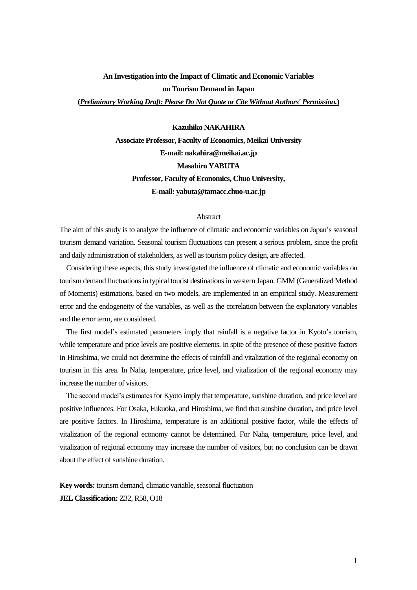# **An Investigation into the Impact of Climatic and Economic Variables on Tourism Demand in Japan**

#### **(***Preliminary Working Draft: Please Do Not Quote or Cite Without Authors' Permission.***)**

#### **Kazuhiko NAKAHIRA**

**Associate Professor, Faculty of Economics, Meikai University E-mail: nakahira@meikai.ac.jp Masahiro YABUTA Professor, Faculty of Economics, Chuo University, E-mail: yabuta@tamacc.chuo-u.ac.jp**

#### Abstract

The aim of this study is to analyze the influence of climatic and economic variables on Japan's seasonal tourism demand variation. Seasonal tourism fluctuations can present a serious problem, since the profit and daily administration of stakeholders, as well as tourism policy design, are affected.

 Considering these aspects, this study investigated the influence of climatic and economic variables on tourism demand fluctuations in typical tourist destinations in western Japan. GMM (Generalized Method of Moments) estimations, based on two models, are implemented in an empirical study. Measurement error and the endogeneity of the variables, as well as the correlation between the explanatory variables and the error term, are considered.

 The first model's estimated parameters imply that rainfall is a negative factor in Kyoto's tourism, while temperature and price levels are positive elements. In spite of the presence of these positive factors in Hiroshima, we could not determine the effects of rainfall and vitalization of the regional economy on tourism in this area. In Naha, temperature, price level, and vitalization of the regional economy may increase the number of visitors.

The second model's estimates for Kyoto imply that temperature, sunshine duration, and price level are positive influences. For Osaka, Fukuoka, and Hiroshima, we find that sunshine duration, and price level are positive factors. In Hiroshima, temperature is an additional positive factor, while the effects of vitalization of the regional economy cannot be determined. For Naha, temperature, price level, and vitalization of regional economy may increase the number of visitors, but no conclusion can be drawn about the effect of sunshine duration.

**Key words:** tourism demand, climatic variable, seasonal fluctuation **JEL Classification:** Z32, R58, O18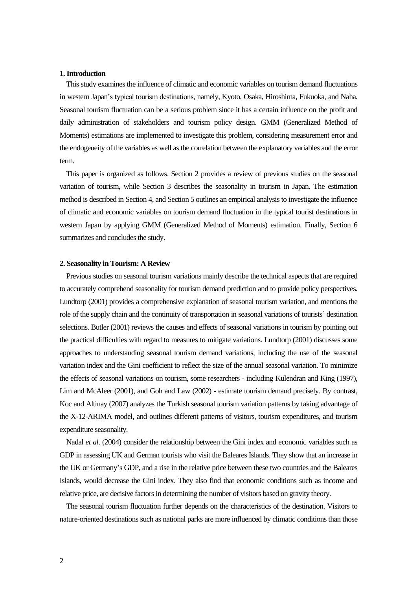#### **1. Introduction**

 This study examines the influence of climatic and economic variables on tourism demand fluctuations in western Japan's typical tourism destinations, namely, Kyoto, Osaka, Hiroshima, Fukuoka, and Naha. Seasonal tourism fluctuation can be a serious problem since it has a certain influence on the profit and daily administration of stakeholders and tourism policy design. GMM (Generalized Method of Moments) estimations are implemented to investigate this problem, considering measurement error and the endogeneity of the variables as well as the correlation between the explanatory variables and the error term.

 This paper is organized as follows. Section 2 provides a review of previous studies on the seasonal variation of tourism, while Section 3 describes the seasonality in tourism in Japan. The estimation method is described in Section 4, and Section 5 outlines an empirical analysis to investigate the influence of climatic and economic variables on tourism demand fluctuation in the typical tourist destinations in western Japan by applying GMM (Generalized Method of Moments) estimation. Finally, Section 6 summarizes and concludes the study.

#### **2. Seasonality in Tourism: A Review**

 Previous studies on seasonal tourism variations mainly describe the technical aspects that are required to accurately comprehend seasonality for tourism demand prediction and to provide policy perspectives. Lundtorp (2001) provides a comprehensive explanation of seasonal tourism variation, and mentions the role of the supply chain and the continuity of transportation in seasonal variations of tourists' destination selections. Butler (2001) reviews the causes and effects of seasonal variations in tourism by pointing out the practical difficulties with regard to measures to mitigate variations. Lundtorp (2001) discusses some approaches to understanding seasonal tourism demand variations, including the use of the seasonal variation index and the Gini coefficient to reflect the size of the annual seasonal variation. To minimize the effects of seasonal variations on tourism, some researchers - including Kulendran and King (1997), Lim and McAleer (2001), and Goh and Law (2002) - estimate tourism demand precisely. By contrast, Koc and Altinay (2007) analyzes the Turkish seasonal tourism variation patterns by taking advantage of the X-12-ARIMA model, and outlines different patterns of visitors, tourism expenditures, and tourism expenditure seasonality.

 Nadal *et al*. (2004) consider the relationship between the Gini index and economic variables such as GDP in assessing UK and German tourists who visit the Baleares Islands. They show that an increase in the UK or Germany's GDP, and a rise in the relative price between these two countries and the Baleares Islands, would decrease the Gini index. They also find that economic conditions such as income and relative price, are decisive factors in determining the number of visitors based on gravity theory.

 The seasonal tourism fluctuation further depends on the characteristics of the destination. Visitors to nature-oriented destinations such as national parks are more influenced by climatic conditions than those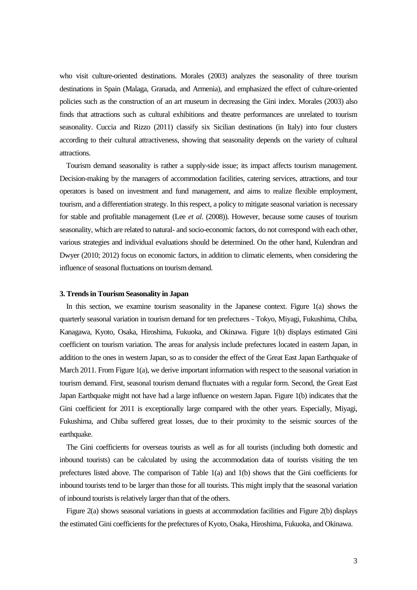who visit culture-oriented destinations. Morales (2003) analyzes the seasonality of three tourism destinations in Spain (Malaga, Granada, and Armenia), and emphasized the effect of culture-oriented policies such as the construction of an art museum in decreasing the Gini index. Morales (2003) also finds that attractions such as cultural exhibitions and theatre performances are unrelated to tourism seasonality. Cuccia and Rizzo (2011) classify six Sicilian destinations (in Italy) into four clusters according to their cultural attractiveness, showing that seasonality depends on the variety of cultural attractions.

 Tourism demand seasonality is rather a supply-side issue; its impact affects tourism management. Decision-making by the managers of accommodation facilities, catering services, attractions, and tour operators is based on investment and fund management, and aims to realize flexible employment, tourism, and a differentiation strategy. In this respect, a policy to mitigate seasonal variation is necessary for stable and profitable management (Lee *et al*. (2008)). However, because some causes of tourism seasonality, which are related to natural- and socio-economic factors, do not correspond with each other, various strategies and individual evaluations should be determined. On the other hand, Kulendran and Dwyer (2010; 2012) focus on economic factors, in addition to climatic elements, when considering the influence of seasonal fluctuations on tourism demand.

#### **3. Trends in Tourism Seasonality in Japan**

In this section, we examine tourism seasonality in the Japanese context. Figure 1(a) shows the quarterly seasonal variation in tourism demand for ten prefectures - Tokyo, Miyagi, Fukushima, Chiba, Kanagawa, Kyoto, Osaka, Hiroshima, Fukuoka, and Okinawa. Figure 1(b) displays estimated Gini coefficient on tourism variation. The areas for analysis include prefectures located in eastern Japan, in addition to the ones in western Japan, so as to consider the effect of the Great East Japan Earthquake of March 2011. From Figure 1(a), we derive important information with respect to the seasonal variation in tourism demand. First, seasonal tourism demand fluctuates with a regular form. Second, the Great East Japan Earthquake might not have had a large influence on western Japan. Figure 1(b) indicates that the Gini coefficient for 2011 is exceptionally large compared with the other years. Especially, Miyagi, Fukushima, and Chiba suffered great losses, due to their proximity to the seismic sources of the earthquake.

 The Gini coefficients for overseas tourists as well as for all tourists (including both domestic and inbound tourists) can be calculated by using the accommodation data of tourists visiting the ten prefectures listed above. The comparison of Table 1(a) and 1(b) shows that the Gini coefficients for inbound tourists tend to be larger than those for all tourists. This might imply that the seasonal variation of inbound tourists is relatively larger than that of the others.

 Figure 2(a) shows seasonal variations in guests at accommodation facilities and Figure 2(b) displays the estimated Gini coefficients for the prefectures of Kyoto, Osaka, Hiroshima, Fukuoka, and Okinawa.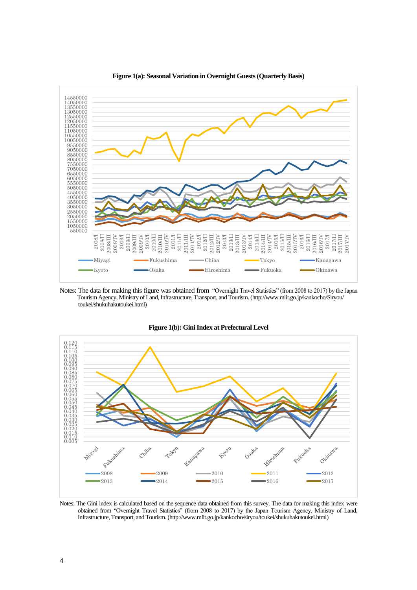

**Figure 1(a): Seasonal Variation in Overnight Guests (Quarterly Basis)**

Notes: The data for making this figure was obtained from "Overnight Travel Statistics" (from 2008 to 2017) by the Japan Tourism Agency, Ministry of Land, Infrastructure, Transport, and Tourism. (http://www.mlit.go.jp/kankocho/Siryou/ toukei/shukuhakutoukei.html)



**Figure 1(b): Gini Index at Prefectural Level**

Notes: The Gini index is calculated based on the sequence data obtained from this survey. The data for making this index were obtained from "Overnight Travel Statistics" (from 2008 to 2017) by the Japan Tourism Agency, Ministry of Land, Infrastructure, Transport, and Tourism. (http://www.mlit.go.jp/kankocho/siryou/toukei/shukuhakutoukei.html)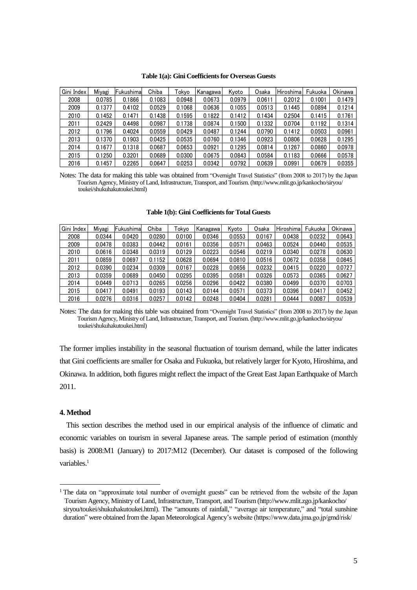|  |  |  | Table 1(a): Gini Coefficients for Overseas Guests |
|--|--|--|---------------------------------------------------|
|--|--|--|---------------------------------------------------|

| Gini Index | Miyagi | Fukushimal | Chiba  | Tokvo  | Kanagawa | Kyoto  | Osaka  | Hiroshima | Fukuoka | Okinawa |
|------------|--------|------------|--------|--------|----------|--------|--------|-----------|---------|---------|
| 2008       | 0.0785 | 0.1866     | 0.1083 | 0.0948 | 0.0673   | 0.0979 | 0.0611 | 0.2012    | 0.1001  | 0.1479  |
| 2009       | 0.1377 | 0.4102     | 0.0529 | 0.1068 | 0.0636   | 0.1055 | 0.0513 | 0.1445    | 0.0894  | 0.1214  |
| 2010       | 0.1452 | 0.1471     | 0.1438 | 0.1595 | 0.1822   | 0.1412 | 0.1434 | 0.2504    | 0.1415  | 0.1761  |
| 2011       | 0.2429 | 0.4498     | 0.0987 | 0.1738 | 0.0874   | 0.1500 | 0.1332 | 0.0704    | 0.1192  | 0.1314  |
| 2012       | 0.1796 | 0.4024     | 0.0559 | 0.0429 | 0.0487   | 0.1244 | 0.0790 | 0.1412    | 0.0503  | 0.0961  |
| 2013       | 0.1370 | 0.1903     | 0.0425 | 0.0535 | 0.0760   | 0.1346 | 0.0923 | 0.0806    | 0.0628  | 0.1295  |
| 2014       | 0.1677 | 0.1318     | 0.0687 | 0.0653 | 0.0921   | 0.1295 | 0.0814 | 0.1267    | 0.0860  | 0.0978  |
| 2015       | 0.1250 | 0.3201     | 0.0689 | 0.0300 | 0.0675   | 0.0843 | 0.0584 | 0.1183    | 0.0666  | 0.0578  |
| 2016       | 0.1457 | 0.2265     | 0.0647 | 0.0253 | 0.0342   | 0.0792 | 0.0639 | 0.0991    | 0.0679  | 0.0355  |

Notes: The data for making this table was obtained from "Overnight Travel Statistics" (from 2008 to 2017) by the Japan Tourism Agency, Ministry of Land, Infrastructure, Transport, and Tourism. (http://www.mlit.go.jp/kankocho/siryou/ toukei/shukuhakutoukei.html)

| Gini Index | Miyagi | Fukushimal | Chiba  | Tokvo  | Kanagawa | Kvoto  | Osaka  | Hiroshima | Fukuoka | Okinawa |
|------------|--------|------------|--------|--------|----------|--------|--------|-----------|---------|---------|
| 2008       | 0.0344 | 0.0420     | 0.0280 | 0.0100 | 0.0346   | 0.0553 | 0.0167 | 0.0438    | 0.0232  | 0.0643  |
| 2009       | 0.0478 | 0.0383     | 0.0442 | 0.0161 | 0.0356   | 0.0571 | 0.0463 | 0.0524    | 0.0440  | 0.0535  |
| 2010       | 0.0616 | 0.0348     | 0.0319 | 0.0129 | 0.0223   | 0.0546 | 0.0219 | 0.0340    | 0.0278  | 0.0630  |
| 2011       | 0.0859 | 0.0697     | 0.1152 | 0.0628 | 0.0694   | 0.0810 | 0.0516 | 0.0672    | 0.0358  | 0.0845  |
| 2012       | 0.0390 | 0.0234     | 0.0309 | 0.0167 | 0.0228   | 0.0656 | 0.0232 | 0.0415    | 0.0220  | 0.0727  |
| 2013       | 0.0359 | 0.0689     | 0.0450 | 0.0295 | 0.0395   | 0.0581 | 0.0326 | 0.0573    | 0.0365  | 0.0627  |
| 2014       | 0.0449 | 0.0713     | 0.0265 | 0.0256 | 0.0296   | 0.0422 | 0.0380 | 0.0499    | 0.0370  | 0.0703  |
| 2015       | 0.0417 | 0.0491     | 0.0193 | 0.0143 | 0.0144   | 0.0571 | 0.0373 | 0.0396    | 0.0417  | 0.0452  |
| 2016       | 0.0276 | 0.0316     | 0.0257 | 0.0142 | 0.0248   | 0.0404 | 0.0281 | 0.0444    | 0.0087  | 0.0539  |

| Table 1(b): Gini Coefficients for Total Guests |  |  |
|------------------------------------------------|--|--|
|------------------------------------------------|--|--|

Notes: The data for making this table was obtained from "Overnight Travel Statistics" (from 2008 to 2017) by the Japan Tourism Agency, Ministry of Land, Infrastructure, Transport, and Tourism. (http://www.mlit.go.jp/kankocho/siryou/ toukei/shukuhakutoukei.html)

The former implies instability in the seasonal fluctuation of tourism demand, while the latter indicates that Gini coefficients are smaller for Osaka and Fukuoka, but relatively larger for Kyoto, Hiroshima, and Okinawa. In addition, both figures might reflect the impact of the Great East Japan Earthquake of March 2011.

#### **4. Method**

-

 This section describes the method used in our empirical analysis of the influence of climatic and economic variables on tourism in several Japanese areas. The sample period of estimation (monthly basis) is 2008:M1 (January) to 2017:M12 (December). Our dataset is composed of the following variables.<sup>1</sup>

<sup>&</sup>lt;sup>1</sup> The data on "approximate total number of overnight guests" can be retrieved from the website of the Japan Tourism Agency, Ministry of Land, Infrastructure, Transport, and Tourism (http://www.mlit.zgo.jp/kankocho/ siryou/toukei/shukuhakutoukei.html). The "amounts of rainfall," "average air temperature," and "total sunshine duration" were obtained from the Japan Meteorological Agency's website (https://www.data.jma.go.jp/gmd/risk/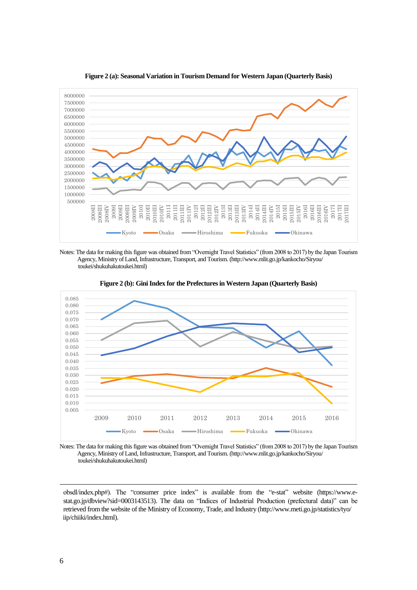

**Figure 2 (a): Seasonal Variation in Tourism Demand for Western Japan (Quarterly Basis)**

Notes: The data for making this figure was obtained from "Overnight Travel Statistics" (from 2008 to 2017) by the Japan Tourism Agency, Ministry of Land, Infrastructure, Transport, and Tourism. (http://www.mlit.go.jp/kankocho/Siryou/ toukei/shukuhakutoukei.html)





Notes: The data for making this figure was obtained from "Overnight Travel Statistics" (from 2008 to 2017) by the Japan Tourism Agency, Ministry of Land, Infrastructure, Transport, and Tourism. (http://www.mlit.go.jp/kankocho/Siryou/ toukei/shukuhakutoukei.html)

obsdl/index.php#). The "consumer price index" is available from the "e-stat" website (https://www.estat.go.jp/dbview?sid=0003143513). The data on "Indices of Industrial Production (prefectural data)" can be retrieved from the website of the Ministry of Economy, Trade, and Industry (http://www.meti.go.jp/statistics/tyo/ iip/chiiki/index.html).

-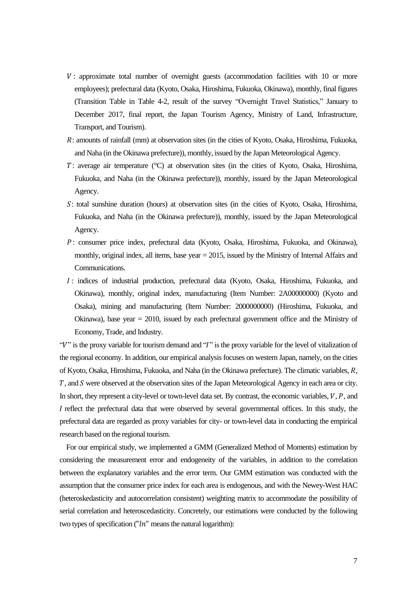- : approximate total number of overnight guests (accommodation facilities with 10 or more employees); prefectural data (Kyoto, Osaka, Hiroshima, Fukuoka, Okinawa), monthly, final figures (Transition Table in Table 4-2, result of the survey "Overnight Travel Statistics," January to December 2017, final report, the Japan Tourism Agency, Ministry of Land, Infrastructure, Transport, and Tourism).
- : amounts of rainfall (mm) at observation sites (in the cities of Kyoto, Osaka, Hiroshima, Fukuoka, and Naha (in the Okinawa prefecture)), monthly, issued by the Japan Meteorological Agency.
- $T$ : average air temperature ( $\degree$ C) at observation sites (in the cities of Kyoto, Osaka, Hiroshima, Fukuoka, and Naha (in the Okinawa prefecture)), monthly, issued by the Japan Meteorological Agency.
- : total sunshine duration (hours) at observation sites (in the cities of Kyoto, Osaka, Hiroshima, Fukuoka, and Naha (in the Okinawa prefecture)), monthly, issued by the Japan Meteorological Agency.
- : consumer price index, prefectural data (Kyoto, Osaka, Hiroshima, Fukuoka, and Okinawa), monthly, original index, all items, base year  $= 2015$ , issued by the Ministry of Internal Affairs and Communications.
- : indices of industrial production, prefectural data (Kyoto, Osaka, Hiroshima, Fukuoka, and Okinawa), monthly, original index, manufacturing (Item Number: 2A00000000) (Kyoto and Osaka), mining and manufacturing (Item Number: 2000000000) (Hiroshima, Fukuoka, and Okinawa), base year = 2010, issued by each prefectural government office and the Ministry of Economy, Trade, and Industry.

"V" is the proxy variable for tourism demand and "I" is the proxy variable for the level of vitalization of the regional economy. In addition, our empirical analysis focuses on western Japan, namely, on the cities of Kyoto, Osaka, Hiroshima, Fukuoka, and Naha (in the Okinawa prefecture). The climatic variables,  $R$ , T, and S were observed at the observation sites of the Japan Meteorological Agency in each area or city. In short, they represent a city-level or town-level data set. By contrast, the economic variables,  $V, P$ , and I reflect the prefectural data that were observed by several governmental offices. In this study, the prefectural data are regarded as proxy variables for city- or town-level data in conducting the empirical research based on the regional tourism.

 For our empirical study, we implemented a GMM (Generalized Method of Moments) estimation by considering the measurement error and endogeneity of the variables, in addition to the correlation between the explanatory variables and the error term. Our GMM estimation was conducted with the assumption that the consumer price index for each area is endogenous, and with the Newey-West HAC (heteroskedasticity and autocorrelation consistent) weighting matrix to accommodate the possibility of serial correlation and heteroscedasticity. Concretely, our estimations were conducted by the following two types of specification (" $ln$ " means the natural logarithm):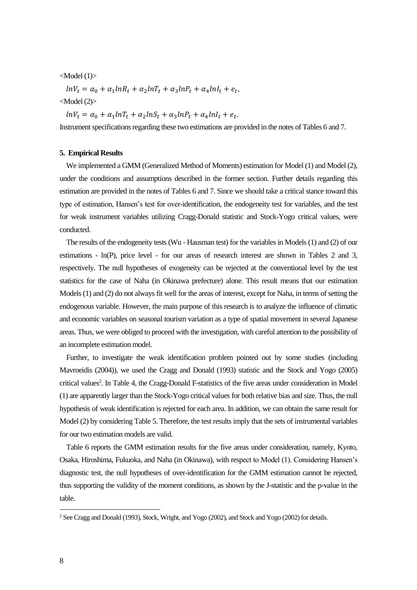#### <Model (1)>

 $lnV_t = \alpha_0 + \alpha_1 lnR_t + \alpha_2 lnT_t + \alpha_3 lnP_t + \alpha_4 lnI_t + e_t,$ 

<Model (2)>

 $ln V_t = \alpha_0 + \alpha_1 ln T_t + \alpha_2 ln S_t + \alpha_3 ln P_t + \alpha_4 ln I_t + e_t.$ 

Instrument specifications regarding these two estimations are provided in the notes of Tables 6 and 7.

#### **5. Empirical Results**

 We implemented a GMM (Generalized Method of Moments) estimation for Model (1) and Model (2), under the conditions and assumptions described in the former section. Further details regarding this estimation are provided in the notes of Tables 6 and 7. Since we should take a critical stance toward this type of estimation, Hansen's test for over-identification, the endogeneity test for variables, and the test for weak instrument variables utilizing Cragg-Donald statistic and Stock-Yogo critical values, were conducted.

 The results of the endogeneity tests (Wu - Hausman test) for the variables in Models (1) and (2) of our estimations - ln(P), price level - for our areas of research interest are shown in Tables 2 and 3, respectively. The null hypotheses of exogeneity can be rejected at the conventional level by the test statistics for the case of Naha (in Okinawa prefecture) alone. This result means that our estimation Models(1) and (2) do not always fit well for the areas of interest, except for Naha, in terms of setting the endogenous variable. However, the main purpose of this research is to analyze the influence of climatic and economic variables on seasonal tourism variation as a type of spatial movement in several Japanese areas. Thus, we were obliged to proceed with the investigation, with careful attention to the possibility of an incomplete estimation model.

 Further, to investigate the weak identification problem pointed out by some studies (including Mavroeidis (2004)), we used the Cragg and Donald (1993) statistic and the Stock and Yogo (2005) critical values<sup>2</sup>. In Table 4, the Cragg-Donald F-statistics of the five areas under consideration in Model (1) are apparently larger than the Stock-Yogo critical values for both relative bias and size. Thus, the null hypothesis of weak identification is rejected for each area. In addition, we can obtain the same result for Model (2) by considering Table 5. Therefore, the test results imply that the sets of instrumental variables for our two estimation models are valid.

 Table 6 reports the GMM estimation results for the five areas under consideration, namely, Kyoto, Osaka, Hiroshima, Fukuoka, and Naha (in Okinawa), with respect to Model (1). Considering Hansen's diagnostic test, the null hypotheses of over-identification for the GMM estimation cannot be rejected, thus supporting the validity of the moment conditions, as shown by the J-statistic and the p-value in the table.

-

<sup>2</sup> See Cragg and Donald (1993), Stock, Wright, and Yogo (2002), and Stock and Yogo (2002) for details.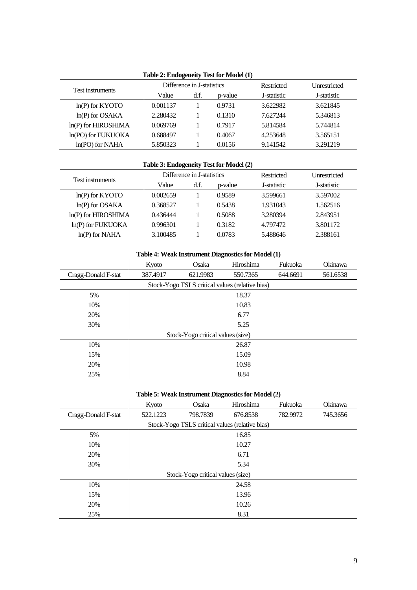| Lable $\mu$ , Endogeneity Test for <i>Wroter</i> $(1)$ |          |                            |         |             |                     |  |  |  |  |
|--------------------------------------------------------|----------|----------------------------|---------|-------------|---------------------|--|--|--|--|
| Test instruments                                       |          | Difference in J-statistics |         | Restricted  | <b>Unrestricted</b> |  |  |  |  |
|                                                        | Value    | d.f.                       | p-value | J-statistic | J-statistic         |  |  |  |  |
| $ln(P)$ for KYOTO                                      | 0.001137 |                            | 0.9731  | 3.622982    | 3.621845            |  |  |  |  |
| $ln(P)$ for OSAKA                                      | 2.280432 |                            | 0.1310  | 7.627244    | 5.346813            |  |  |  |  |
| $ln(P)$ for HIROSHIMA                                  | 0.069769 |                            | 0.7917  | 5.814584    | 5.744814            |  |  |  |  |
| ln(PO) for FUKUOKA                                     | 0.688497 |                            | 0.4067  | 4.253648    | 3.565151            |  |  |  |  |
| $ln(PO)$ for NAHA                                      | 5.850323 |                            | 0.0156  | 9.141542    | 3.291219            |  |  |  |  |
|                                                        |          |                            |         |             |                     |  |  |  |  |

## **Table 2: Endogeneity Test for Model (1)**

## **Table 3: Endogeneity Test for Model (2)**

| Test instruments      |          | Difference in J-statistics |         | Restricted  | <b>Unrestricted</b> |
|-----------------------|----------|----------------------------|---------|-------------|---------------------|
|                       | Value    | d.f.                       | p-value | J-statistic | J-statistic         |
| $ln(P)$ for KYOTO     | 0.002659 |                            | 0.9589  | 3.599661    | 3.597002            |
| $ln(P)$ for OSAKA     | 0.368527 |                            | 0.5438  | 1.931043    | 1.562516            |
| $ln(P)$ for HIROSHIMA | 0.436444 |                            | 0.5088  | 3.280394    | 2.843951            |
| $ln(P)$ for FUKUOKA   | 0.996301 |                            | 0.3182  | 4.797472    | 3.801172            |
| $ln(P)$ for NAHA      | 3.100485 |                            | 0.0783  | 5.488646    | 2.388161            |

## **Table 4: Weak Instrument Diagnostics for Model (1)**

|                     | Kyoto    | Osaka                             | Hiroshima                                       | Fukuoka  | Okinawa  |  |  |  |
|---------------------|----------|-----------------------------------|-------------------------------------------------|----------|----------|--|--|--|
| Cragg-Donald F-stat | 387.4917 | 621.9983                          | 550.7365                                        | 644.6691 | 561.6538 |  |  |  |
|                     |          |                                   | Stock-Yogo TSLS critical values (relative bias) |          |          |  |  |  |
| 5%                  | 18.37    |                                   |                                                 |          |          |  |  |  |
| 10%                 |          |                                   | 10.83                                           |          |          |  |  |  |
| 20%                 | 6.77     |                                   |                                                 |          |          |  |  |  |
| 30%                 | 5.25     |                                   |                                                 |          |          |  |  |  |
|                     |          | Stock-Yogo critical values (size) |                                                 |          |          |  |  |  |
| 10%                 |          |                                   | 26.87                                           |          |          |  |  |  |
| 15%                 |          |                                   | 15.09                                           |          |          |  |  |  |
| 20%                 |          |                                   | 10.98                                           |          |          |  |  |  |
| 25%                 |          |                                   | 8.84                                            |          |          |  |  |  |

| Table 5: Weak Instrument Diagnostics for Model (2) |                                                 |                                   |           |          |          |  |  |  |  |  |
|----------------------------------------------------|-------------------------------------------------|-----------------------------------|-----------|----------|----------|--|--|--|--|--|
|                                                    | Kyoto                                           | Osaka                             | Hiroshima | Fukuoka  | Okinawa  |  |  |  |  |  |
| Cragg-Donald F-stat                                | 522.1223                                        | 798.7839                          | 676.8538  | 782.9972 | 745.3656 |  |  |  |  |  |
|                                                    | Stock-Yogo TSLS critical values (relative bias) |                                   |           |          |          |  |  |  |  |  |
| 5%                                                 |                                                 |                                   | 16.85     |          |          |  |  |  |  |  |
| 10%                                                |                                                 | 10.27                             |           |          |          |  |  |  |  |  |
| 20%                                                |                                                 |                                   | 6.71      |          |          |  |  |  |  |  |
| 30%                                                |                                                 |                                   | 5.34      |          |          |  |  |  |  |  |
|                                                    |                                                 | Stock-Yogo critical values (size) |           |          |          |  |  |  |  |  |
| 10%                                                |                                                 |                                   | 24.58     |          |          |  |  |  |  |  |
| 15%                                                |                                                 |                                   | 13.96     |          |          |  |  |  |  |  |
| 20%                                                |                                                 |                                   | 10.26     |          |          |  |  |  |  |  |
| 25%                                                |                                                 |                                   | 8.31      |          |          |  |  |  |  |  |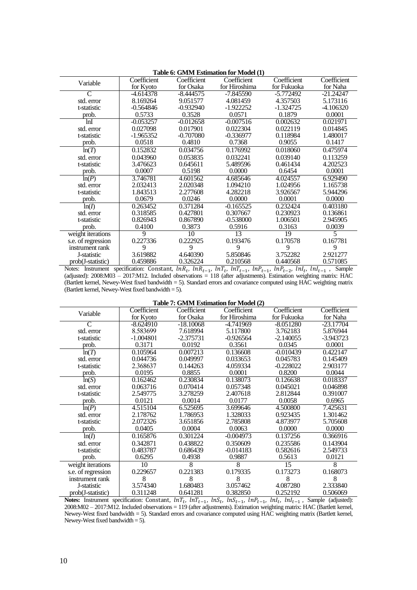|                    | <b>Table 0: GIVIIVI ESUMMUON IOF MODEL (1)</b> |             |               |             |             |  |  |  |  |
|--------------------|------------------------------------------------|-------------|---------------|-------------|-------------|--|--|--|--|
| Variable           | Coefficient                                    | Coefficient | Coefficient   | Coefficient | Coefficient |  |  |  |  |
|                    | for Kyoto                                      | for Osaka   | for Hiroshima | for Fukuoka | for Naha    |  |  |  |  |
| $\mathsf{C}$       | -4.614378                                      | $-8.444575$ | $-7.845590$   | $-5.772492$ | $-21.24247$ |  |  |  |  |
| std. error         | 8.169264                                       | 9.051577    | 4.081459      | 4.357503    | 5.173116    |  |  |  |  |
| t-statistic        | -0.564846                                      | $-0.932940$ | -1.922252     | $-1.324725$ | -4.106320   |  |  |  |  |
| prob.              | 0.5733                                         | 0.3528      | 0.0571        | 0.1879      | 0.0001      |  |  |  |  |
| lnI                | $-0.053257$                                    | $-0.012658$ | $-0.007516$   | 0.002632    | 0.021971    |  |  |  |  |
| std. error         | 0.027098                                       | 0.017901    | 0.022304      | 0.022119    | 0.014845    |  |  |  |  |
| t-statistic        | -1.965352                                      | -0.707080   | $-0.336977$   | 0.118984    | 1.480017    |  |  |  |  |
| prob.              | 0.0518                                         | 0.4810      | 0.7368        | 0.9055      | 0.1417      |  |  |  |  |
| ln(T)              | 0.152832                                       | 0.034756    | 0.176992      | 0.018060    | 0.475974    |  |  |  |  |
| std. error         | 0.043960                                       | 0.053835    | 0.032241      | 0.039140    | 0.113259    |  |  |  |  |
| t-statistic        | 3.476623                                       | 0.645611    | 5.489596      | 0.461434    | 4.202523    |  |  |  |  |
| prob.              | 0.0007                                         | 0.5198      | 0.0000        | 0.6454      | 0.0001      |  |  |  |  |
| ln(P)              | 3.746781                                       | 4.601562    | 4.685646      | 4.024557    | 6.929490    |  |  |  |  |
| std. error         | 2.032413                                       | 2.020348    | 1.094210      | 1.024956    | 1.165738    |  |  |  |  |
| t-statistic        | 1.843513                                       | 2.277608    | 4.282218      | 3.926567    | 5.944296    |  |  |  |  |
| prob.              | 0.0679                                         | 0.0246      | 0.0000        | 0.0001      | 0.0000      |  |  |  |  |
| ln(I)              | 0.263452                                       | 0.371284    | $-0.165525$   | 0.232424    | 0.403180    |  |  |  |  |
| std. error         | 0.318585                                       | 0.427801    | 0.307667      | 0.230923    | 0.136861    |  |  |  |  |
| t-statistic        | 0.826943                                       | 0.867890    | $-0.538000$   | 1.006501    | 2.945905    |  |  |  |  |
| prob.              | 0.4100                                         | 0.3873      | 0.5916        | 0.3163      | 0.0039      |  |  |  |  |
| weight iterations  | 9                                              | 10          | 13            | 19          |             |  |  |  |  |
| s.e. of regression | 0.227336                                       | 0.222925    | 0.193476      | 0.170578    | 0.167781    |  |  |  |  |
| instrument rank    | 9                                              | 9           | 9             | 9           | 9           |  |  |  |  |
| J-statistic        | 3.619882                                       | 4.640390    | 5.850846      | 3.752282    | 2.921277    |  |  |  |  |
| prob(J-statistic)  | 0.459886                                       | 0.326224    | 0.210568      | 0.440568    | 0.571085    |  |  |  |  |

#### **Table 6: GMM Estimation for Model (1)**

Notes: Instrument specification: Constant,  $ln R_t$ ,  $ln R_{t-1}$ ,  $ln T_t$ ,  $ln T_{t-1}$ ,  $ln P_{t-1}$ ,  $ln P_{t-2}$ ,  $ln I_t$ ,  $ln I_{t-1}$ , Sample (adjusted): 2008:M03 – 2017:M12. Included observations = 118 (after adjustments). Estimation weighting matrix: HAC (Bartlett kernel, Newey-West fixed bandwidth = 5). Standard errors and covariance computed using HAC weighting matrix (Bartlett kernel, Newey-West fixed bandwidth = 5).

| Table 7: GMM Estimation for Model (2) |  |
|---------------------------------------|--|
|---------------------------------------|--|

| Variable           | Coefficient | Coefficient | Coefficient   | Coefficient | Coefficient |
|--------------------|-------------|-------------|---------------|-------------|-------------|
|                    | for Kyoto   | for Osaka   | for Hiroshima | for Fukuoka | for Naha    |
| C                  | -8.624910   | $-18.10068$ | -4.741969     | $-8.051280$ | $-23.17704$ |
| std. error         | 8.583699    | 7.618994    | 5.117800      | 3.762183    | 5.876944    |
| t-statistic        | $-1.004801$ | $-2.375731$ | $-0.926564$   | $-2.140055$ | -3.943723   |
| prob.              | 0.3171      | 0.0192      | 0.3561        | 0.0345      | 0.0001      |
| ln(T)              | 0.105964    | 0.007213    | 0.136608      | $-0.010439$ | 0.422147    |
| std. error         | 0.044736    | 0.049997    | 0.033653      | 0.045783    | 0.145409    |
| t-statistic        | 2.368637    | 0.144263    | 4.059334      | $-0.228022$ | 2.903177    |
| prob.              | 0.0195      | 0.8855      | 0.0001        | 0.8200      | 0.0044      |
| ln(S)              | 0.162462    | 0.230834    | 0.138073      | 0.126638    | 0.018337    |
| std. error         | 0.063716    | 0.070414    | 0.057348      | 0.045021    | 0.046898    |
| t-statistic        | 2.549775    | 3.278259    | 2.407618      | 2.812844    | 0.391007    |
| prob.              | 0.0121      | 0.0014      | 0.0177        | 0.0058      | 0.6965      |
| ln(P)              | 4.515104    | 6.525695    | 3.699646      | 4.500800    | 7.425631    |
| std. error         | 2.178762    | 1.786953    | 1.328033      | 0.923435    | 1.301462    |
| t-statistic        | 2.072326    | 3.651856    | 2.785808      | 4.873977    | 5.705608    |
| prob.              | 0.0405      | 0.0004      | 0.0063        | 0.0000      | 0.0000      |
| ln(I)              | 0.165876    | 0.301224    | $-0.004973$   | 0.137256    | 0.366916    |
| std. error         | 0.342871    | 0.438822    | 0.350609      | 0.235586    | 0.143904    |
| t-statistic        | 0.483787    | 0.686439    | $-0.014183$   | 0.582616    | 2.549733    |
| prob.              | 0.6295      | 0.4938      | 0.9887        | 0.5613      | 0.0121      |
| weight iterations  | 10          | 8           | 8             | 15          | 8           |
| s.e. of regression | 0.229657    | 0.221383    | 0.179335      | 0.173273    | 0.168073    |
| instrument rank    | 8           | 8           | 8             | 8           | 8           |
| J-statistic        | 3.574340    | 1.680483    | 3.057462      | 4.087280    | 2.333840    |
| prob(J-statistic)  | 0.311248    | 0.641281    | 0.382850      | 0.252192    | 0.506069    |

**Notes:** Instrument specification: Constant,  $lnT_t$ ,  $lnT_{t-1}$ ,  $lnS_t$ ,  $lnS_{t-1}$ ,  $lnP_{t-1}$ ,  $lnI_t$ ,  $lnI_{t-1}$ , Sample (adjusted): 2008:M02 – 2017:M12. Included observations = 119 (after adjustments). Estimation weighting matrix: HAC (Bartlett kernel, Newey-West fixed bandwidth = 5). Standard errors and covariance computed using HAC weighting matrix (Bartlett kernel, Newey-West fixed bandwidth  $= 5$ ).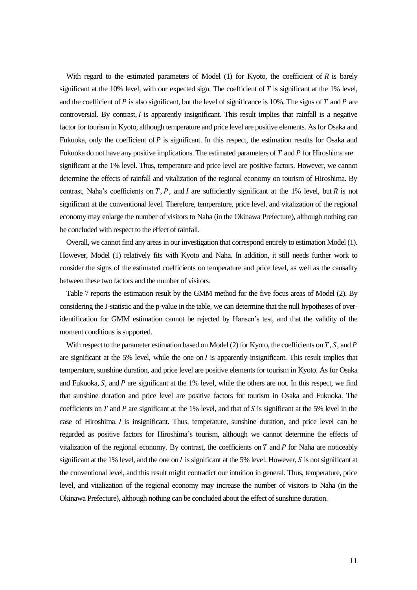With regard to the estimated parameters of Model  $(1)$  for Kyoto, the coefficient of R is barely significant at the 10% level, with our expected sign. The coefficient of  $T$  is significant at the 1% level, and the coefficient of  $P$  is also significant, but the level of significance is 10%. The signs of  $T$  and  $P$  are controversial. By contrast,  $I$  is apparently insignificant. This result implies that rainfall is a negative factor for tourism in Kyoto, although temperature and price level are positive elements. As for Osaka and Fukuoka, only the coefficient of  $P$  is significant. In this respect, the estimation results for Osaka and Fukuoka do not have any positive implications. The estimated parameters of  $T$  and  $P$  for Hiroshima are significant at the 1% level. Thus, temperature and price level are positive factors. However, we cannot determine the effects of rainfall and vitalization of the regional economy on tourism of Hiroshima. By contrast, Naha's coefficients on  $T$ ,  $P$ , and  $I$  are sufficiently significant at the 1% level, but  $R$  is not significant at the conventional level. Therefore, temperature, price level, and vitalization of the regional economy may enlarge the number of visitors to Naha (in the Okinawa Prefecture), although nothing can be concluded with respect to the effect of rainfall.

 Overall, we cannot find any areas in our investigation that correspond entirely to estimation Model (1). However, Model (1) relatively fits with Kyoto and Naha. In addition, it still needs further work to consider the signs of the estimated coefficients on temperature and price level, as well as the causality between these two factors and the number of visitors.

 Table 7 reports the estimation result by the GMM method for the five focus areas of Model (2). By considering the J-statistic and the p-value in the table, we can determine that the null hypotheses of overidentification for GMM estimation cannot be rejected by Hansen's test, and that the validity of the moment conditions is supported.

With respect to the parameter estimation based on Model (2) for Kyoto, the coefficients on  $T$ ,  $S$ , and  $P$ are significant at the 5% level, while the one on  $I$  is apparently insignificant. This result implies that temperature, sunshine duration, and price level are positive elements for tourism in Kyoto. As for Osaka and Fukuoka,  $S$ , and  $P$  are significant at the 1% level, while the others are not. In this respect, we find that sunshine duration and price level are positive factors for tourism in Osaka and Fukuoka. The coefficients on T and P are significant at the 1% level, and that of S is significant at the 5% level in the case of Hiroshima. I is insignificant. Thus, temperature, sunshine duration, and price level can be regarded as positive factors for Hiroshima's tourism, although we cannot determine the effects of vitalization of the regional economy. By contrast, the coefficients on  $T$  and  $P$  for Naha are noticeably significant at the 1% level, and the one on  $I$  is significant at the 5% level. However,  $S$  is not significant at the conventional level, and this result might contradict our intuition in general. Thus, temperature, price level, and vitalization of the regional economy may increase the number of visitors to Naha (in the Okinawa Prefecture), although nothing can be concluded about the effect of sunshine duration.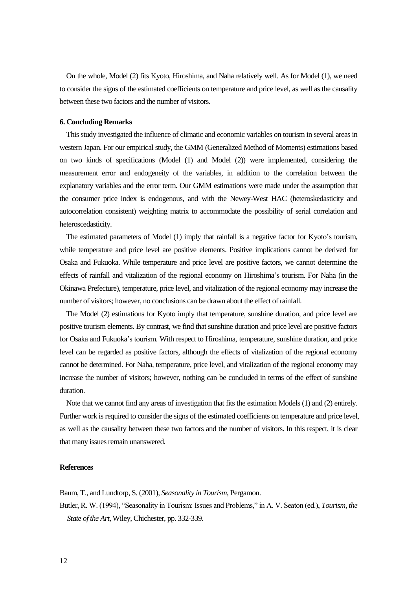On the whole, Model (2) fits Kyoto, Hiroshima, and Naha relatively well. As for Model (1), we need to consider the signs of the estimated coefficients on temperature and price level, as well as the causality between these two factors and the number of visitors.

#### **6. Concluding Remarks**

 This study investigated the influence of climatic and economic variables on tourism in several areas in western Japan. For our empirical study, the GMM (Generalized Method of Moments) estimations based on two kinds of specifications (Model (1) and Model (2)) were implemented, considering the measurement error and endogeneity of the variables, in addition to the correlation between the explanatory variables and the error term. Our GMM estimations were made under the assumption that the consumer price index is endogenous, and with the Newey-West HAC (heteroskedasticity and autocorrelation consistent) weighting matrix to accommodate the possibility of serial correlation and heteroscedasticity.

 The estimated parameters of Model (1) imply that rainfall is a negative factor for Kyoto's tourism, while temperature and price level are positive elements. Positive implications cannot be derived for Osaka and Fukuoka. While temperature and price level are positive factors, we cannot determine the effects of rainfall and vitalization of the regional economy on Hiroshima's tourism. For Naha (in the Okinawa Prefecture), temperature, price level, and vitalization of the regional economy may increase the number of visitors; however, no conclusions can be drawn about the effect of rainfall.

 The Model (2) estimations for Kyoto imply that temperature, sunshine duration, and price level are positive tourism elements. By contrast, we find that sunshine duration and price level are positive factors for Osaka and Fukuoka's tourism. With respect to Hiroshima, temperature, sunshine duration, and price level can be regarded as positive factors, although the effects of vitalization of the regional economy cannot be determined. For Naha, temperature, price level, and vitalization of the regional economy may increase the number of visitors; however, nothing can be concluded in terms of the effect of sunshine duration.

 Note that we cannot find any areas of investigation that fits the estimation Models (1) and (2) entirely. Further work is required to consider the signs of the estimated coefficients on temperature and price level, as well as the causality between these two factors and the number of visitors. In this respect, it is clear that many issues remain unanswered.

#### **References**

Baum, T., and Lundtorp, S. (2001), *Seasonality in Tourism*, Pergamon.

Butler, R. W. (1994), "Seasonality in Tourism: Issues and Problems," in A. V. Seaton (ed.), *Tourism, the State of the Art*, Wiley, Chichester, pp. 332-339.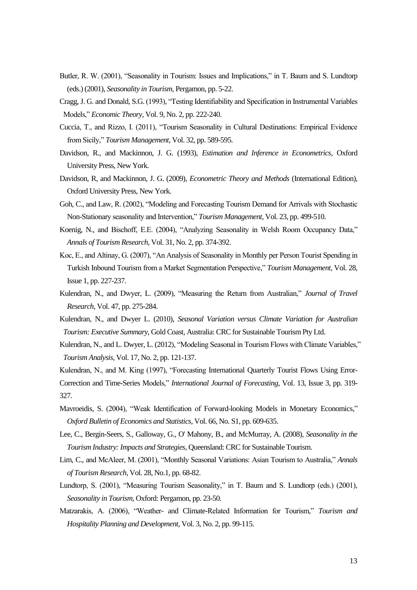- Butler, R. W. (2001), "Seasonality in Tourism: Issues and Implications," in T. Baum and S. Lundtorp (eds.) (2001), *Seasonality in Tourism*, Pergamon, pp. 5-22.
- Cragg, J. G. and Donald, S.G. (1993), "Testing Identifiability and Specification in Instrumental Variables Models," *Economic Theory*, Vol. 9, No. 2, pp. 222-240.
- Cuccia, T., and Rizzo, I. (2011), "Tourism Seasonality in Cultural Destinations: Empirical Evidence from Sicily," *Tourism Management*, Vol. 32, pp. 589-595.
- Davidson, R., and Mackinnon, J. G. (1993), *Estimation and Inference in Econometrics*, Oxford University Press, New York.
- Davidson, R, and Mackinnon, J. G. (2009), *Econometric Theory and Methods* (International Edition), Oxford University Press, New York.
- Goh, C., and Law, R. (2002), "Modeling and Forecasting Tourism Demand for Arrivals with Stochastic Non-Stationary seasonality and Intervention," *Tourism Management*, Vol. 23, pp. 499-510.
- Koenig, N., and Bischoff, E.E. (2004), "Analyzing Seasonality in Welsh Room Occupancy Data," *Annals of Tourism Research*, Vol. 31, No. 2, pp. 374-392.
- Koc, E., and Altinay, G. (2007), "An Analysis of Seasonality in Monthly per Person Tourist Spending in Turkish Inbound Tourism from a Market Segmentation Perspective," *[Tourism Management](https://www.researchgate.net/journal/0261-5177_Tourism_Management)*, Vol. 28, Issue 1, pp. 227-237.
- Kulendran, N., and Dwyer, L. (2009), "Measuring the Return from Australian," *Journal of Travel Research*, Vol. 47, pp. 275-284.
- Kulendran, N., and Dwyer L. (2010), *Seasonal Variation versus Climate Variation for Australian Tourism: Executive Summary*, Gold Coast, Australia: CRC for Sustainable Tourism Pty Ltd.
- Kulendran, N., and L. Dwyer, L. (2012), "Modeling Seasonal in Tourism Flows with Climate Variables," *Tourism Analysis*, Vol. 17, No. 2, pp. 121-137.
- Kulendran, N., and M. King (1997), "Forecasting International Quarterly Tourist Flows Using Error-Correction and Time-Series Models," *International Journal of Forecasting*, Vol. 13, Issue 3, pp. 319- 327.
- Mavroeidis, S. (2004), "Weak Identification of Forward-looking Models in Monetary Economics," *Oxford Bulletin of Economics and Statistics*, Vol. 66, No. S1, pp. 609-635.
- Lee, C., Bergin-Seers, S., Galloway, G., O' Mahony, B., and McMurray, A. (2008), *Seasonality in the Tourism Industry: Impacts and Strategies*, Queensland: CRC for Sustainable Tourism.
- Lim, C., and McAleer, M. (2001), "Monthly Seasonal Variations: Asian Tourism to Australia," *Annals of Tourism Research,* Vol. 28, No.1, pp. 68-82.
- Lundtorp, S. (2001), "Measuring Tourism Seasonality," in T. Baum and S. Lundtorp (eds.) (2001), *Seasonality in Tourism*, Oxford: Pergamon, pp. 23-50.
- Matzarakis, A. (2006), "Weather- and Climate-Related Information for Tourism," *Tourism and Hospitality Planning and Development,* Vol. 3, No. 2, pp. 99-115.